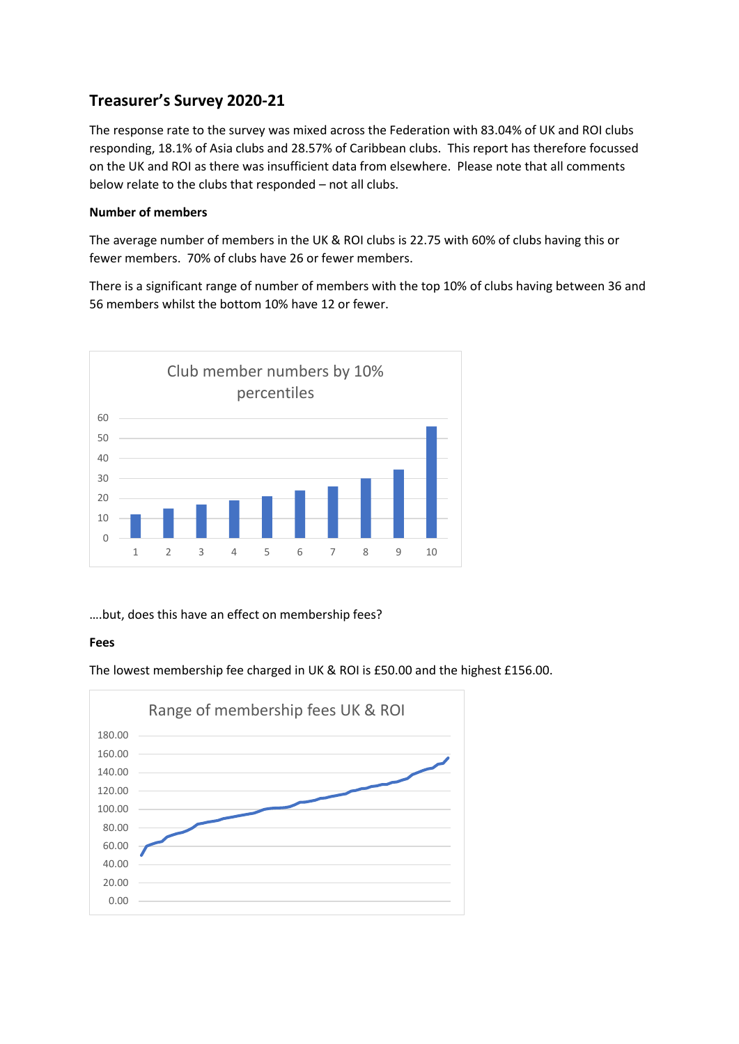# **Treasurer's Survey 2020-21**

The response rate to the survey was mixed across the Federation with 83.04% of UK and ROI clubs responding, 18.1% of Asia clubs and 28.57% of Caribbean clubs. This report has therefore focussed on the UK and ROI as there was insufficient data from elsewhere. Please note that all comments below relate to the clubs that responded – not all clubs.

## **Number of members**

The average number of members in the UK & ROI clubs is 22.75 with 60% of clubs having this or fewer members. 70% of clubs have 26 or fewer members.

There is a significant range of number of members with the top 10% of clubs having between 36 and 56 members whilst the bottom 10% have 12 or fewer.



….but, does this have an effect on membership fees?

## **Fees**

The lowest membership fee charged in UK & ROI is £50.00 and the highest £156.00.

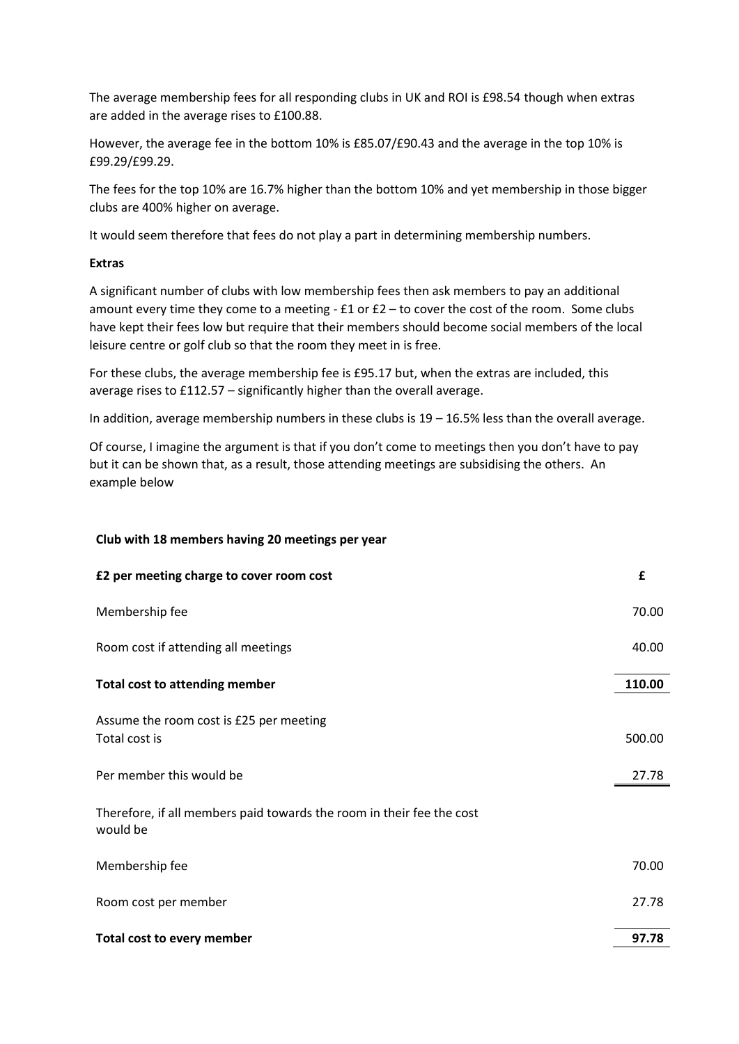The average membership fees for all responding clubs in UK and ROI is £98.54 though when extras are added in the average rises to £100.88.

However, the average fee in the bottom 10% is £85.07/£90.43 and the average in the top 10% is £99.29/£99.29.

The fees for the top 10% are 16.7% higher than the bottom 10% and yet membership in those bigger clubs are 400% higher on average.

It would seem therefore that fees do not play a part in determining membership numbers.

### **Extras**

A significant number of clubs with low membership fees then ask members to pay an additional amount every time they come to a meeting -  $E1$  or  $E2$  – to cover the cost of the room. Some clubs have kept their fees low but require that their members should become social members of the local leisure centre or golf club so that the room they meet in is free.

For these clubs, the average membership fee is £95.17 but, when the extras are included, this average rises to £112.57 – significantly higher than the overall average.

In addition, average membership numbers in these clubs is  $19 - 16.5%$  less than the overall average.

Of course, I imagine the argument is that if you don't come to meetings then you don't have to pay but it can be shown that, as a result, those attending meetings are subsidising the others. An example below

### **Club with 18 members having 20 meetings per year**

| £2 per meeting charge to cover room cost                                          | £      |
|-----------------------------------------------------------------------------------|--------|
| Membership fee                                                                    | 70.00  |
| Room cost if attending all meetings                                               | 40.00  |
| <b>Total cost to attending member</b>                                             | 110.00 |
| Assume the room cost is £25 per meeting<br>Total cost is                          | 500.00 |
| Per member this would be                                                          | 27.78  |
| Therefore, if all members paid towards the room in their fee the cost<br>would be |        |
| Membership fee                                                                    | 70.00  |
| Room cost per member                                                              | 27.78  |
| Total cost to every member                                                        | 97.78  |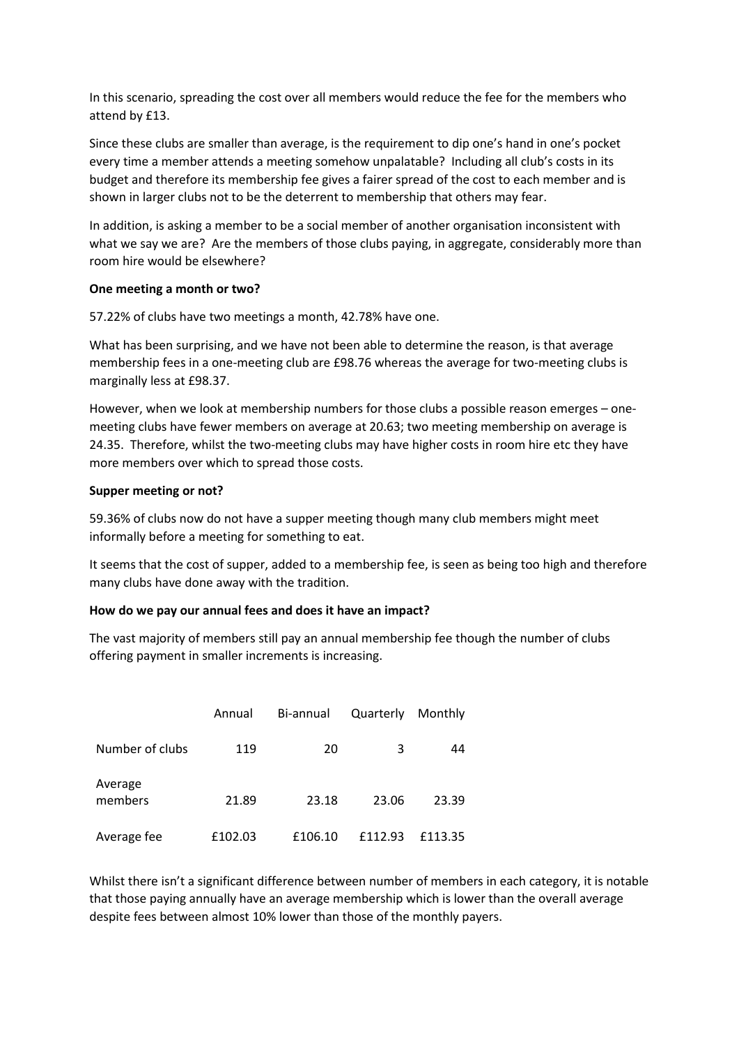In this scenario, spreading the cost over all members would reduce the fee for the members who attend by £13.

Since these clubs are smaller than average, is the requirement to dip one's hand in one's pocket every time a member attends a meeting somehow unpalatable? Including all club's costs in its budget and therefore its membership fee gives a fairer spread of the cost to each member and is shown in larger clubs not to be the deterrent to membership that others may fear.

In addition, is asking a member to be a social member of another organisation inconsistent with what we say we are? Are the members of those clubs paying, in aggregate, considerably more than room hire would be elsewhere?

### **One meeting a month or two?**

57.22% of clubs have two meetings a month, 42.78% have one.

What has been surprising, and we have not been able to determine the reason, is that average membership fees in a one-meeting club are £98.76 whereas the average for two-meeting clubs is marginally less at £98.37.

However, when we look at membership numbers for those clubs a possible reason emerges – onemeeting clubs have fewer members on average at 20.63; two meeting membership on average is 24.35. Therefore, whilst the two-meeting clubs may have higher costs in room hire etc they have more members over which to spread those costs.

## **Supper meeting or not?**

59.36% of clubs now do not have a supper meeting though many club members might meet informally before a meeting for something to eat.

It seems that the cost of supper, added to a membership fee, is seen as being too high and therefore many clubs have done away with the tradition.

## **How do we pay our annual fees and does it have an impact?**

The vast majority of members still pay an annual membership fee though the number of clubs offering payment in smaller increments is increasing.

|                    | Annual  | Bi-annual | Quarterly | Monthly |
|--------------------|---------|-----------|-----------|---------|
| Number of clubs    | 119     | 20        | 3         | 44      |
| Average<br>members | 21.89   | 23.18     | 23.06     | 23.39   |
| Average fee        | £102.03 | £106.10   | £112.93   | £113.35 |

Whilst there isn't a significant difference between number of members in each category, it is notable that those paying annually have an average membership which is lower than the overall average despite fees between almost 10% lower than those of the monthly payers.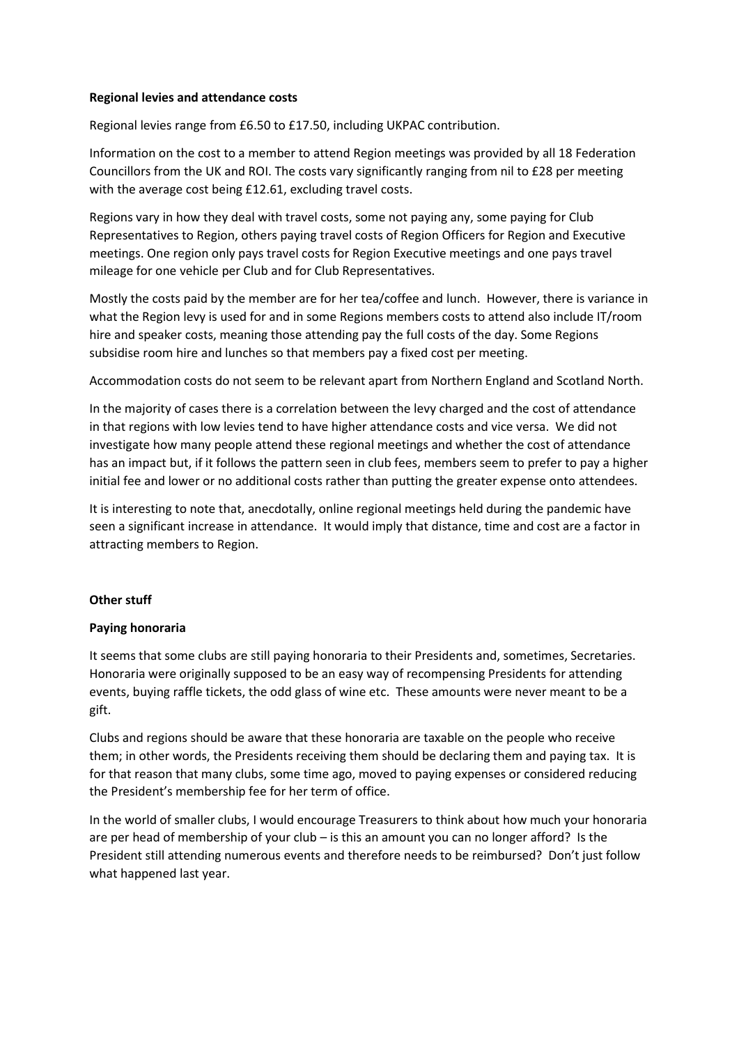#### **Regional levies and attendance costs**

Regional levies range from £6.50 to £17.50, including UKPAC contribution.

Information on the cost to a member to attend Region meetings was provided by all 18 Federation Councillors from the UK and ROI. The costs vary significantly ranging from nil to £28 per meeting with the average cost being £12.61, excluding travel costs.

Regions vary in how they deal with travel costs, some not paying any, some paying for Club Representatives to Region, others paying travel costs of Region Officers for Region and Executive meetings. One region only pays travel costs for Region Executive meetings and one pays travel mileage for one vehicle per Club and for Club Representatives.

Mostly the costs paid by the member are for her tea/coffee and lunch. However, there is variance in what the Region levy is used for and in some Regions members costs to attend also include IT/room hire and speaker costs, meaning those attending pay the full costs of the day. Some Regions subsidise room hire and lunches so that members pay a fixed cost per meeting.

Accommodation costs do not seem to be relevant apart from Northern England and Scotland North.

In the majority of cases there is a correlation between the levy charged and the cost of attendance in that regions with low levies tend to have higher attendance costs and vice versa. We did not investigate how many people attend these regional meetings and whether the cost of attendance has an impact but, if it follows the pattern seen in club fees, members seem to prefer to pay a higher initial fee and lower or no additional costs rather than putting the greater expense onto attendees.

It is interesting to note that, anecdotally, online regional meetings held during the pandemic have seen a significant increase in attendance. It would imply that distance, time and cost are a factor in attracting members to Region.

## **Other stuff**

### **Paying honoraria**

It seems that some clubs are still paying honoraria to their Presidents and, sometimes, Secretaries. Honoraria were originally supposed to be an easy way of recompensing Presidents for attending events, buying raffle tickets, the odd glass of wine etc. These amounts were never meant to be a gift.

Clubs and regions should be aware that these honoraria are taxable on the people who receive them; in other words, the Presidents receiving them should be declaring them and paying tax. It is for that reason that many clubs, some time ago, moved to paying expenses or considered reducing the President's membership fee for her term of office.

In the world of smaller clubs, I would encourage Treasurers to think about how much your honoraria are per head of membership of your club – is this an amount you can no longer afford? Is the President still attending numerous events and therefore needs to be reimbursed? Don't just follow what happened last year.